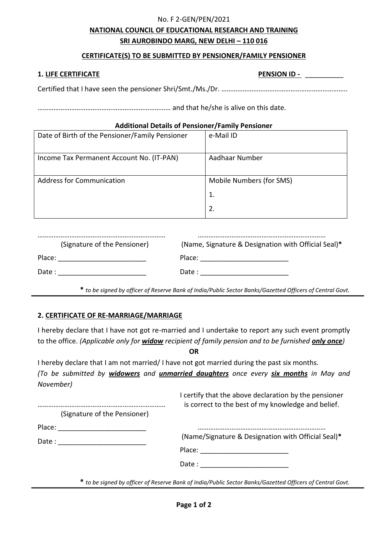### No. F 2-GEN/PEN/2021

# **NATIONAL COUNCIL OF EDUCATIONAL RESEARCH AND TRAINING SRI AUROBINDO MARG, NEW DELHI – 110 016**

# **CERTIFICATE(S) TO BE SUBMITTED BY PENSIONER/FAMILY PENSIONER**

## **1. LIFE CERTIFICATE PENSION ID -** \_\_\_\_\_\_\_\_\_\_

Certified that I have seen the pensioner Shri/Smt./Ms./Dr. ……………………………………………………………..

………………………………………………………………… and that he/she is alive on this date.

### **Additional Details of Pensioner/Family Pensioner**

| Date of Birth of the Pensioner/Family Pensioner | e-Mail ID                |
|-------------------------------------------------|--------------------------|
| Income Tax Permanent Account No. (IT-PAN)       | Aadhaar Number           |
| <b>Address for Communication</b>                | Mobile Numbers (for SMS) |
|                                                 | 1.                       |
|                                                 | 2.                       |

| (Signature of the Pensioner) | (Name, Signature & Designation with Official Seal)* |
|------------------------------|-----------------------------------------------------|
| Place:                       | Place:                                              |
| Date :                       | Date :                                              |

**\*** *to be signed by officer of Reserve Bank of India/Public Sector Banks/Gazetted Officers of Central Govt.*

### **2. CERTIFICATE OF RE-MARRIAGE/MARRIAGE**

I hereby declare that I have not got re-married and I undertake to report any such event promptly to the office. *(Applicable only for widow recipient of family pension and to be furnished only once)*

**OR**

I hereby declare that I am not married/ I have not got married during the past six months. *(To be submitted by widowers and unmarried daughters once every six months in May and November)*

……………………………………………………………… (Signature of the Pensioner) Place: \_\_\_\_\_\_\_\_\_\_\_\_\_\_\_\_\_\_\_\_\_\_\_ Date : \_\_\_\_\_\_\_\_\_\_\_\_\_\_\_\_\_\_\_\_\_\_\_ I certify that the above declaration by the pensioner is correct to the best of my knowledge and belief. ……………………………………………………………… (Name/Signature & Designation with Official Seal)**\*** Place: \_\_\_\_\_\_\_\_\_\_\_\_\_\_\_\_\_\_\_\_\_\_\_ Date : \_\_\_\_\_\_\_\_\_\_\_\_\_\_\_\_\_\_\_\_\_\_\_

**\*** *to be signed by officer of Reserve Bank of India/Public Sector Banks/Gazetted Officers of Central Govt.*